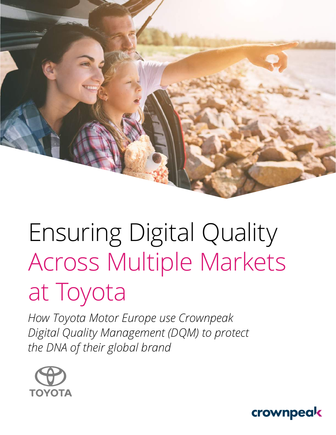Ensuring Digital Quality Across Multiple Markets at Toyota

*How Toyota Motor Europe use Crownpeak Digital Quality Management (DQM) to protect the DNA of their global brand* 



crownpeak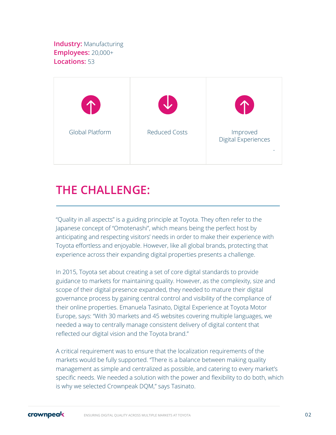**Industry: Manufacturing Employees:** 20,000+ **Locations:** 53



## **THE CHALLENGE:**

"Quality in all aspects" is a guiding principle at Toyota. They often refer to the Japanese concept of "Omotenashi", which means being the perfect host by anticipating and respecting visitors' needs in order to make their experience with Toyota effortless and enjoyable. However, like all global brands, protecting that experience across their expanding digital properties presents a challenge.

In 2015, Toyota set about creating a set of core digital standards to provide guidance to markets for maintaining quality. However, as the complexity, size and scope of their digital presence expanded, they needed to mature their digital governance process by gaining central control and visibility of the compliance of their online properties. Emanuela Tasinato, Digital Experience at Toyota Motor Europe, says: "With 30 markets and 45 websites covering multiple languages, we needed a way to centrally manage consistent delivery of digital content that reflected our digital vision and the Toyota brand."

A critical requirement was to ensure that the localization requirements of the markets would be fully supported. "There is a balance between making quality management as simple and centralized as possible, and catering to every market's specific needs. We needed a solution with the power and flexibility to do both, which is why we selected Crownpeak DQM," says Tasinato.

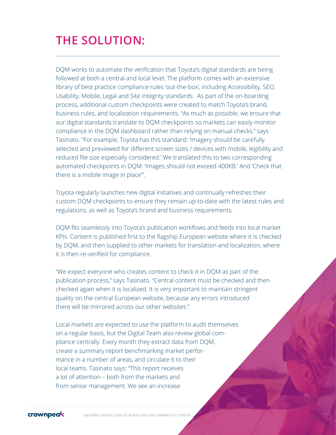## **THE SOLUTION:**

DQM works to automate the verification that Toyota's digital standards are being followed at both a central and local level. The platform comes with an extensive library of best practice compliance rules 'out-the-box', including Accessibility, SEO, Usability, Mobile, Legal and Site Integrity standards. As part of the on-boarding process, additional custom checkpoints were created to match Toyota's brand, business rules, and localization requirements. "As much as possible, we ensure that our digital standards translate to DQM checkpoints so markets can easily monitor compliance in the DQM dashboard rather than relying on manual checks," says Tasinato. "For example, Toyota has this standard: 'Imagery should be carefully selected and previewed for different screen sizes / devices with mobile, legibility and reduced file size especially considered.' We translated this to two corresponding automated checkpoints in DQM: 'Images should not exceed 400KB.' And 'Check that there is a mobile image in place'".

Toyota regularly launches new digital initiatives and continually refreshes their custom DQM checkpoints to ensure they remain up-to-date with the latest rules and regulations, as well as Toyota's brand and business requirements.

DQM fits seamlessly into Toyota's publication workflows and feeds into local market KPIs. Content is published first to the flagship European website where it is checked by DQM, and then supplied to other markets for translation and localization, where it is then re-verified for compliance.

"We expect everyone who creates content to check it in DQM as part of the publication process," says Tasinato. "Central content must be checked and then checked again when it is localized. It is very important to maintain stringent quality on the central European website, because any errors introduced there will be mirrored across our other websites."

Local markets are expected to use the platform to audit themselves on a regular basis, but the Digital Team also review global compliance centrally. Every month they extract data from DQM, create a summary report benchmarking market performance in a number of areas, and circulate it to their local teams. Tasinato says: "This report receives a lot of attention – both from the markets and from senior management. We see an increase



ENSURING DIGITAL QUALITY ACROSS MULTIPLE MARKETS AT TOYOTA 03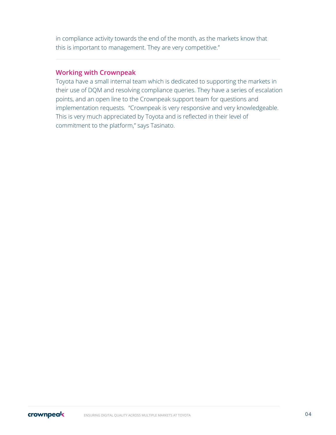in compliance activity towards the end of the month, as the markets know that this is important to management. They are very competitive."

#### **Working with Crownpeak**

Toyota have a small internal team which is dedicated to supporting the markets in their use of DQM and resolving compliance queries. They have a series of escalation points, and an open line to the Crownpeak support team for questions and implementation requests. "Crownpeak is very responsive and very knowledgeable. This is very much appreciated by Toyota and is reflected in their level of commitment to the platform," says Tasinato.

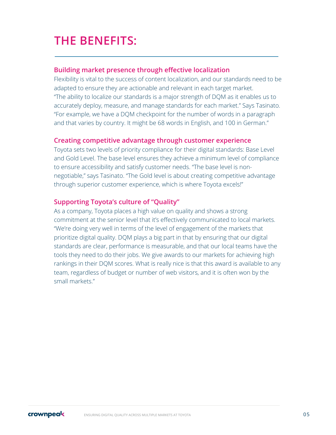## **THE BENEFITS:**

#### **Building market presence through effective localization**

Flexibility is vital to the success of content localization, and our standards need to be adapted to ensure they are actionable and relevant in each target market. "The ability to localize our standards is a major strength of DQM as it enables us to accurately deploy, measure, and manage standards for each market." Says Tasinato. "For example, we have a DQM checkpoint for the number of words in a paragraph and that varies by country. It might be 68 words in English, and 100 in German."

#### **Creating competitive advantage through customer experience**

Toyota sets two levels of priority compliance for their digital standards: Base Level and Gold Level. The base level ensures they achieve a minimum level of compliance to ensure accessibility and satisfy customer needs. "The base level is nonnegotiable," says Tasinato. "The Gold level is about creating competitive advantage through superior customer experience, which is where Toyota excels!"

### **Supporting Toyota's culture of "Quality"**

As a company, Toyota places a high value on quality and shows a strong commitment at the senior level that it's effectively communicated to local markets. "We're doing very well in terms of the level of engagement of the markets that prioritize digital quality. DQM plays a big part in that by ensuring that our digital standards are clear, performance is measurable, and that our local teams have the tools they need to do their jobs. We give awards to our markets for achieving high rankings in their DQM scores. What is really nice is that this award is available to any team, regardless of budget or number of web visitors, and it is often won by the small markets."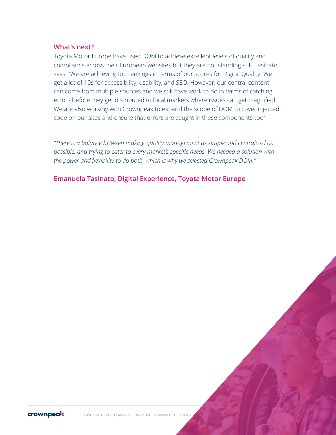#### **What's next?**

Toyota Motor Europe have used DQM to achieve excellent levels of quality and compliance across their European websites but they are not standing still. Tasinato says: "We are achieving top rankings in terms of our scores for Digital Quality. We get a lot of 10s for accessibility, usability, and SEO. However, our central content can come from multiple sources and we still have work to do in terms of catching errors before they get distributed to local markets where issues can get magnified. We are also working with Crownpeak to expand the scope of DQM to cover injected code on our sites and ensure that errors are caught in these components too".

*"There is a balance between making quality management as simple and centralized as possible, and trying to cater to every market's specific needs. We needed a solution with the power and flexibility to do both, which is why we selected Crownpeak DQM."*

**Emanuela Tasinato, Digital Experience, Toyota Motor Europe**



ENSURING DIGITAL QUALITY ACROSS MULTIPLE MARKETS AT TOYOTA